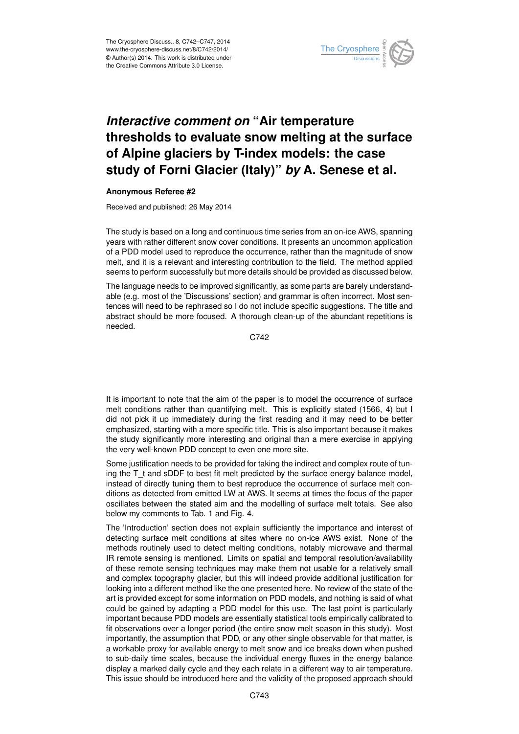

## *Interactive comment on* **"Air temperature thresholds to evaluate snow melting at the surface of Alpine glaciers by T-index models: the case study of Forni Glacier (Italy)"** *by* **A. Senese et al.**

## **Anonymous Referee #2**

Received and published: 26 May 2014

The study is based on a long and continuous time series from an on-ice AWS, spanning years with rather different snow cover conditions. It presents an uncommon application of a PDD model used to reproduce the occurrence, rather than the magnitude of snow melt, and it is a relevant and interesting contribution to the field. The method applied seems to perform successfully but more details should be provided as discussed below.

The language needs to be improved significantly, as some parts are barely understandable (e.g. most of the 'Discussions' section) and grammar is often incorrect. Most sentences will need to be rephrased so I do not include specific suggestions. The title and abstract should be more focused. A thorough clean-up of the abundant repetitions is needed.

C742

It is important to note that the aim of the paper is to model the occurrence of surface melt conditions rather than quantifying melt. This is explicitly stated (1566, 4) but I did not pick it up immediately during the first reading and it may need to be better emphasized, starting with a more specific title. This is also important because it makes the study significantly more interesting and original than a mere exercise in applying the very well-known PDD concept to even one more site.

Some justification needs to be provided for taking the indirect and complex route of tuning the T<sub>t</sub> and sDDF to best fit melt predicted by the surface energy balance model, instead of directly tuning them to best reproduce the occurrence of surface melt conditions as detected from emitted LW at AWS. It seems at times the focus of the paper oscillates between the stated aim and the modelling of surface melt totals. See also below my comments to Tab. 1 and Fig. 4.

The 'Introduction' section does not explain sufficiently the importance and interest of detecting surface melt conditions at sites where no on-ice AWS exist. None of the methods routinely used to detect melting conditions, notably microwave and thermal IR remote sensing is mentioned. Limits on spatial and temporal resolution/availability of these remote sensing techniques may make them not usable for a relatively small and complex topography glacier, but this will indeed provide additional justification for looking into a different method like the one presented here. No review of the state of the art is provided except for some information on PDD models, and nothing is said of what could be gained by adapting a PDD model for this use. The last point is particularly important because PDD models are essentially statistical tools empirically calibrated to fit observations over a longer period (the entire snow melt season in this study). Most importantly, the assumption that PDD, or any other single observable for that matter, is a workable proxy for available energy to melt snow and ice breaks down when pushed to sub-daily time scales, because the individual energy fluxes in the energy balance display a marked daily cycle and they each relate in a different way to air temperature. This issue should be introduced here and the validity of the proposed approach should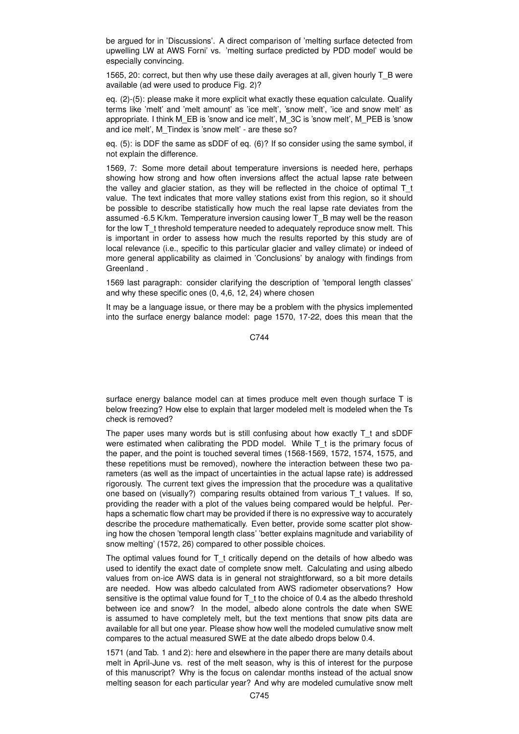be argued for in 'Discussions'. A direct comparison of 'melting surface detected from upwelling LW at AWS Forni' vs. 'melting surface predicted by PDD model' would be especially convincing.

1565, 20: correct, but then why use these daily averages at all, given hourly T\_B were available (ad were used to produce Fig. 2)?

eq. (2)-(5): please make it more explicit what exactly these equation calculate. Qualify terms like 'melt' and 'melt amount' as 'ice melt', 'snow melt', 'ice and snow melt' as appropriate. I think M\_EB is 'snow and ice melt', M\_3C is 'snow melt', M\_PEB is 'snow and ice melt', M\_Tindex is 'snow melt' - are these so?

eq. (5): is DDF the same as sDDF of eq. (6)? If so consider using the same symbol, if not explain the difference.

1569, 7: Some more detail about temperature inversions is needed here, perhaps showing how strong and how often inversions affect the actual lapse rate between the valley and glacier station, as they will be reflected in the choice of optimal  $T_t$ value. The text indicates that more valley stations exist from this region, so it should be possible to describe statistically how much the real lapse rate deviates from the assumed -6.5 K/km. Temperature inversion causing lower T\_B may well be the reason for the low  $T$  t threshold temperature needed to adequately reproduce snow melt. This is important in order to assess how much the results reported by this study are of local relevance (i.e., specific to this particular glacier and valley climate) or indeed of more general applicability as claimed in 'Conclusions' by analogy with findings from Greenland .

1569 last paragraph: consider clarifying the description of 'temporal length classes' and why these specific ones (0, 4,6, 12, 24) where chosen

It may be a language issue, or there may be a problem with the physics implemented into the surface energy balance model: page 1570, 17-22, does this mean that the

C744

surface energy balance model can at times produce melt even though surface T is below freezing? How else to explain that larger modeled melt is modeled when the Ts check is removed?

The paper uses many words but is still confusing about how exactly T\_t and sDDF were estimated when calibrating the PDD model. While T t is the primary focus of the paper, and the point is touched several times (1568-1569, 1572, 1574, 1575, and these repetitions must be removed), nowhere the interaction between these two parameters (as well as the impact of uncertainties in the actual lapse rate) is addressed rigorously. The current text gives the impression that the procedure was a qualitative one based on (visually?) comparing results obtained from various T\_t values. If so, providing the reader with a plot of the values being compared would be helpful. Perhaps a schematic flow chart may be provided if there is no expressive way to accurately describe the procedure mathematically. Even better, provide some scatter plot showing how the chosen 'temporal length class' 'better explains magnitude and variability of snow melting' (1572, 26) compared to other possible choices.

The optimal values found for T\_t critically depend on the details of how albedo was used to identify the exact date of complete snow melt. Calculating and using albedo values from on-ice AWS data is in general not straightforward, so a bit more details are needed. How was albedo calculated from AWS radiometer observations? How sensitive is the optimal value found for T\_t to the choice of 0.4 as the albedo threshold between ice and snow? In the model, albedo alone controls the date when SWE is assumed to have completely melt, but the text mentions that snow pits data are available for all but one year. Please show how well the modeled cumulative snow melt compares to the actual measured SWE at the date albedo drops below 0.4.

1571 (and Tab. 1 and 2): here and elsewhere in the paper there are many details about melt in April-June vs. rest of the melt season, why is this of interest for the purpose of this manuscript? Why is the focus on calendar months instead of the actual snow melting season for each particular year? And why are modeled cumulative snow melt